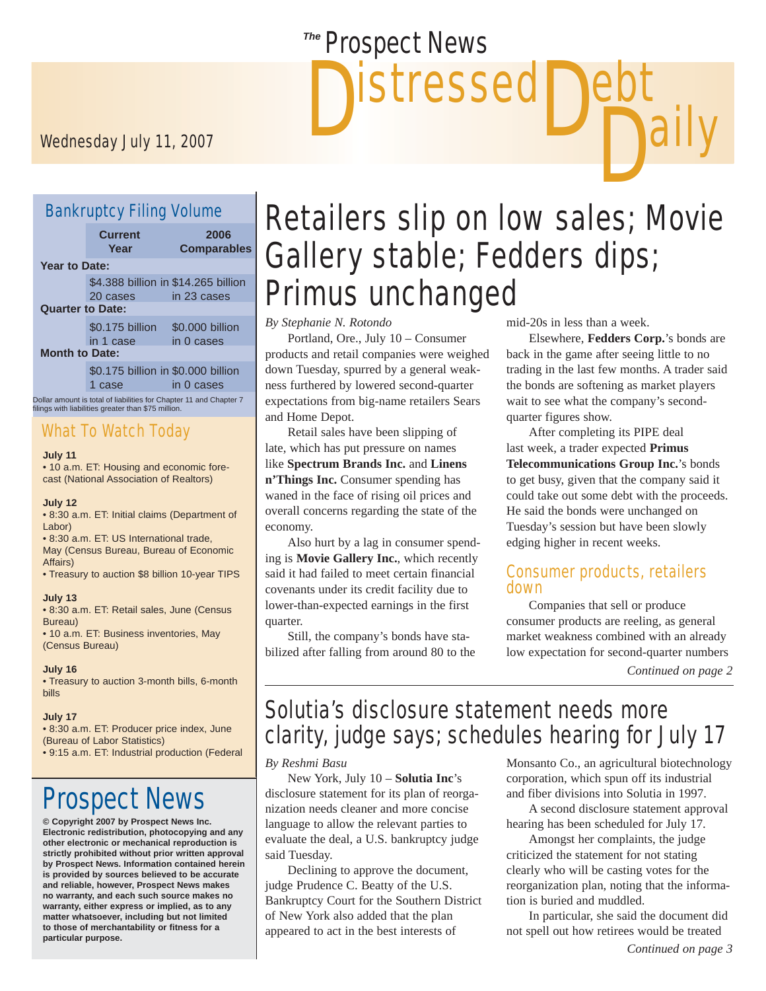# Wednesday July 11, 2007

#### Bankruptcy Filing Volume

|                         | <b>Current</b><br>Year       | 2006<br><b>Comparables</b>                         |  |  |  |  |
|-------------------------|------------------------------|----------------------------------------------------|--|--|--|--|
| Year to Date:           |                              |                                                    |  |  |  |  |
|                         | 20 cases                     | \$4.388 billion in \$14.265 billion<br>in 23 cases |  |  |  |  |
| <b>Quarter to Date:</b> |                              |                                                    |  |  |  |  |
|                         | \$0.175 billion<br>in 1 case | \$0,000 billion<br>in 0 cases                      |  |  |  |  |
| <b>Month to Date:</b>   |                              |                                                    |  |  |  |  |
|                         |                              | \$0.175 billion in \$0.000 billion                 |  |  |  |  |

1 case in 0 cases

Dollar amount is total of liabilities for Chapter 11 and Chapter 7 filings with liabilities greater than \$75 million.

#### What To Watch Today

#### **July 11**

• 10 a.m. ET: Housing and economic forecast (National Association of Realtors)

#### **July 12**

• 8:30 a.m. ET: Initial claims (Department of Labor)

• 8:30 a.m. ET: US International trade, May (Census Bureau, Bureau of Economic Affairs)

• Treasury to auction \$8 billion 10-year TIPS

#### **July 13**

• 8:30 a.m. ET: Retail sales, June (Census Bureau) • 10 a.m. ET: Business inventories, May

(Census Bureau)

#### **July 16**

• Treasury to auction 3-month bills, 6-month bills

#### **July 17**

• 8:30 a.m. ET: Producer price index, June (Bureau of Labor Statistics) • 9:15 a.m. ET: Industrial production (Federal

#### Prospect News **© Copyright 2007 by Prospect News Inc. Electronic redistribution, photocopying and any other electronic or mechanical reproduction is strictly prohibited without prior written approval by Prospect News. Information contained herein is provided by sources believed to be accurate and reliable, however, Prospect News makes no warranty, and each such source makes no warranty, either express or implied, as to any matter whatsoever, including but not limited to those of merchantability or fitness for a particular purpose.**

## **Dally** Retailers slip on low sales; Movie Gallery stable; Fedders dips; Primus unchanged

*By Stephanie N. Rotondo*

 Portland, Ore., July 10 – Consumer products and retail companies were weighed down Tuesday, spurred by a general weakness furthered by lowered second-quarter expectations from big-name retailers Sears and Home Depot.

*The* Prospect News

 Retail sales have been slipping of late, which has put pressure on names like **Spectrum Brands Inc.** and **Linens n'Things Inc.** Consumer spending has waned in the face of rising oil prices and overall concerns regarding the state of the economy.

 Also hurt by a lag in consumer spending is **Movie Gallery Inc.**, which recently said it had failed to meet certain financial covenants under its credit facility due to lower-than-expected earnings in the first quarter.

 Still, the company's bonds have stabilized after falling from around 80 to the mid-20s in less than a week.

Debt<br>D<sup>ebt</sup>

 Elsewhere, **Fedders Corp.**'s bonds are back in the game after seeing little to no trading in the last few months. A trader said the bonds are softening as market players wait to see what the company's secondquarter figures show.

 After completing its PIPE deal last week, a trader expected **Primus Telecommunications Group Inc.**'s bonds to get busy, given that the company said it could take out some debt with the proceeds. He said the bonds were unchanged on Tuesday's session but have been slowly edging higher in recent weeks.

#### Consumer products, retailers down

 Companies that sell or produce consumer products are reeling, as general market weakness combined with an already low expectation for second-quarter numbers

*Continued on page 2*

## Solutia's disclosure statement needs more clarity, judge says; schedules hearing for July 17

*By Reshmi Basu* 

 New York, July 10 – **Solutia Inc**'s disclosure statement for its plan of reorganization needs cleaner and more concise language to allow the relevant parties to evaluate the deal, a U.S. bankruptcy judge said Tuesday.

 Declining to approve the document, judge Prudence C. Beatty of the U.S. Bankruptcy Court for the Southern District of New York also added that the plan appeared to act in the best interests of

Monsanto Co., an agricultural biotechnology corporation, which spun off its industrial and fiber divisions into Solutia in 1997.

 A second disclosure statement approval hearing has been scheduled for July 17.

 Amongst her complaints, the judge criticized the statement for not stating clearly who will be casting votes for the reorganization plan, noting that the information is buried and muddled.

 In particular, she said the document did not spell out how retirees would be treated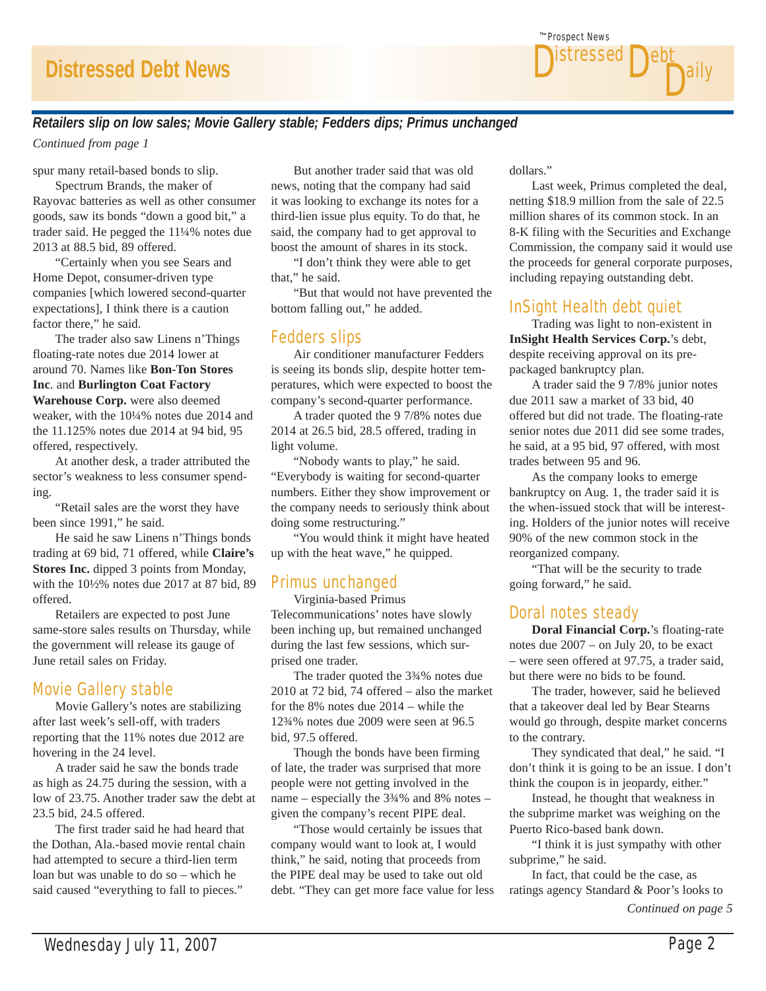

#### *Retailers slip on low sales; Movie Gallery stable; Fedders dips; Primus unchanged*

*Continued from page 1*

spur many retail-based bonds to slip.

 Spectrum Brands, the maker of Rayovac batteries as well as other consumer goods, saw its bonds "down a good bit," a trader said. He pegged the 11¼% notes due 2013 at 88.5 bid, 89 offered.

 "Certainly when you see Sears and Home Depot, consumer-driven type companies [which lowered second-quarter expectations], I think there is a caution factor there," he said.

 The trader also saw Linens n'Things floating-rate notes due 2014 lower at around 70. Names like **Bon-Ton Stores Inc**. and **Burlington Coat Factory Warehouse Corp.** were also deemed weaker, with the 10¼% notes due 2014 and the 11.125% notes due 2014 at 94 bid, 95 offered, respectively.

 At another desk, a trader attributed the sector's weakness to less consumer spending.

 "Retail sales are the worst they have been since 1991," he said.

 He said he saw Linens n'Things bonds trading at 69 bid, 71 offered, while **Claire's Stores Inc.** dipped 3 points from Monday, with the 10½% notes due 2017 at 87 bid, 89 offered.

 Retailers are expected to post June same-store sales results on Thursday, while the government will release its gauge of June retail sales on Friday.

#### Movie Gallery stable

 Movie Gallery's notes are stabilizing after last week's sell-off, with traders reporting that the 11% notes due 2012 are hovering in the 24 level.

 A trader said he saw the bonds trade as high as 24.75 during the session, with a low of 23.75. Another trader saw the debt at 23.5 bid, 24.5 offered.

 The first trader said he had heard that the Dothan, Ala.-based movie rental chain had attempted to secure a third-lien term loan but was unable to do so – which he said caused "everything to fall to pieces."

 But another trader said that was old news, noting that the company had said it was looking to exchange its notes for a third-lien issue plus equity. To do that, he said, the company had to get approval to boost the amount of shares in its stock.

 "I don't think they were able to get that," he said.

 "But that would not have prevented the bottom falling out," he added.

#### Fedders slips

 Air conditioner manufacturer Fedders is seeing its bonds slip, despite hotter temperatures, which were expected to boost the company's second-quarter performance.

 A trader quoted the 9 7/8% notes due 2014 at 26.5 bid, 28.5 offered, trading in light volume.

 "Nobody wants to play," he said. "Everybody is waiting for second-quarter numbers. Either they show improvement or the company needs to seriously think about doing some restructuring."

 "You would think it might have heated up with the heat wave," he quipped.

#### Primus unchanged

 Virginia-based Primus Telecommunications' notes have slowly been inching up, but remained unchanged during the last few sessions, which surprised one trader.

 The trader quoted the 3¾% notes due 2010 at 72 bid, 74 offered – also the market for the 8% notes due 2014 – while the 12¾% notes due 2009 were seen at 96.5 bid, 97.5 offered.

 Though the bonds have been firming of late, the trader was surprised that more people were not getting involved in the name – especially the 3¾% and 8% notes – given the company's recent PIPE deal.

 "Those would certainly be issues that company would want to look at, I would think," he said, noting that proceeds from the PIPE deal may be used to take out old debt. "They can get more face value for less dollars."

 Last week, Primus completed the deal, netting \$18.9 million from the sale of 22.5 million shares of its common stock. In an 8-K filing with the Securities and Exchange Commission, the company said it would use the proceeds for general corporate purposes, including repaying outstanding debt.

#### InSight Health debt quiet

 Trading was light to non-existent in **InSight Health Services Corp.**'s debt, despite receiving approval on its prepackaged bankruptcy plan.

 A trader said the 9 7/8% junior notes due 2011 saw a market of 33 bid, 40 offered but did not trade. The floating-rate senior notes due 2011 did see some trades, he said, at a 95 bid, 97 offered, with most trades between 95 and 96.

 As the company looks to emerge bankruptcy on Aug. 1, the trader said it is the when-issued stock that will be interesting. Holders of the junior notes will receive 90% of the new common stock in the reorganized company.

 "That will be the security to trade going forward," he said.

#### Doral notes steady

**Doral Financial Corp.**'s floating-rate notes due 2007 – on July 20, to be exact – were seen offered at 97.75, a trader said, but there were no bids to be found.

 The trader, however, said he believed that a takeover deal led by Bear Stearns would go through, despite market concerns to the contrary.

 They syndicated that deal," he said. "I don't think it is going to be an issue. I don't think the coupon is in jeopardy, either."

 Instead, he thought that weakness in the subprime market was weighing on the Puerto Rico-based bank down.

 "I think it is just sympathy with other subprime," he said.

 In fact, that could be the case, as ratings agency Standard & Poor's looks to *Continued on page 5*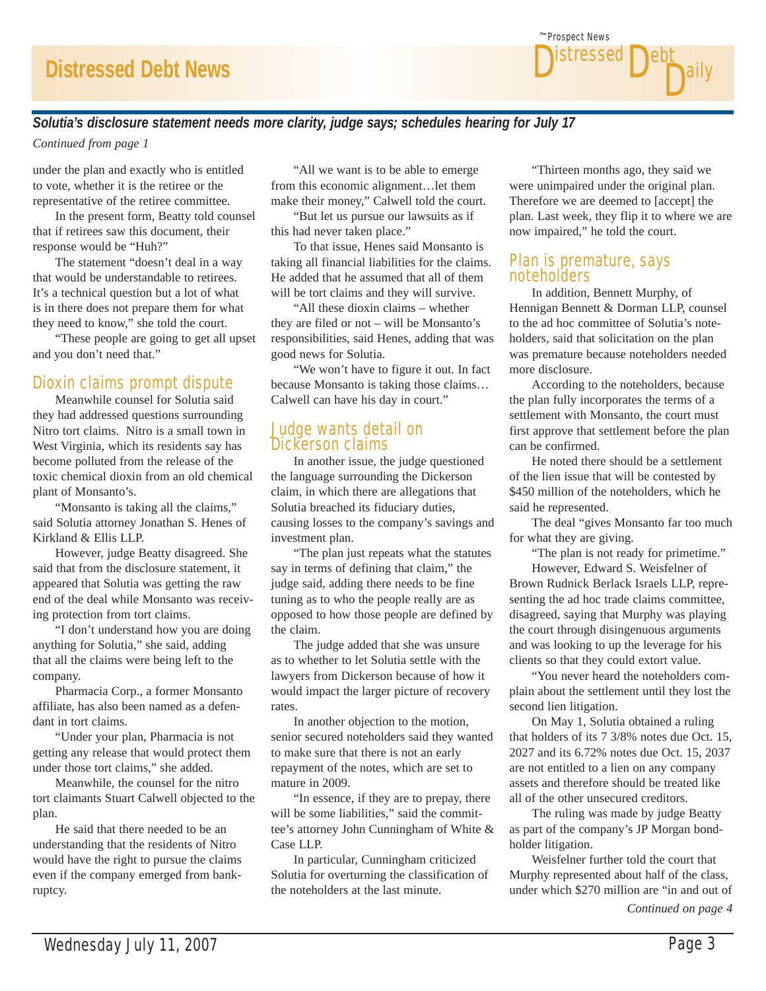

#### *Solutia's disclosure statement needs more clarity, judge says; schedules hearing for July 17*

*Continued from page 1*

under the plan and exactly who is entitled to vote, whether it is the retiree or the representative of the retiree committee.

 In the present form, Beatty told counsel that if retirees saw this document, their response would be "Huh?"

 The statement "doesn't deal in a way that would be understandable to retirees. It's a technical question but a lot of what is in there does not prepare them for what they need to know," she told the court.

 "These people are going to get all upset and you don't need that."

#### Dioxin claims prompt dispute

 Meanwhile counsel for Solutia said they had addressed questions surrounding Nitro tort claims. Nitro is a small town in West Virginia, which its residents say has become polluted from the release of the toxic chemical dioxin from an old chemical plant of Monsanto's.

 "Monsanto is taking all the claims," said Solutia attorney Jonathan S. Henes of Kirkland & Ellis LLP.

 However, judge Beatty disagreed. She said that from the disclosure statement, it appeared that Solutia was getting the raw end of the deal while Monsanto was receiving protection from tort claims.

 "I don't understand how you are doing anything for Solutia," she said, adding that all the claims were being left to the company.

 Pharmacia Corp., a former Monsanto affiliate, has also been named as a defendant in tort claims.

 "Under your plan, Pharmacia is not getting any release that would protect them under those tort claims," she added.

 Meanwhile, the counsel for the nitro tort claimants Stuart Calwell objected to the plan.

 He said that there needed to be an understanding that the residents of Nitro would have the right to pursue the claims even if the company emerged from bankruptcy.

 "All we want is to be able to emerge from this economic alignment…let them make their money," Calwell told the court.

 "But let us pursue our lawsuits as if this had never taken place."

 To that issue, Henes said Monsanto is taking all financial liabilities for the claims. He added that he assumed that all of them will be tort claims and they will survive.

 "All these dioxin claims – whether they are filed or not – will be Monsanto's responsibilities, said Henes, adding that was good news for Solutia.

 "We won't have to figure it out. In fact because Monsanto is taking those claims… Calwell can have his day in court."

#### Judge wants detail on Dickerson claims

 In another issue, the judge questioned the language surrounding the Dickerson claim, in which there are allegations that Solutia breached its fiduciary duties, causing losses to the company's savings and investment plan.

 "The plan just repeats what the statutes say in terms of defining that claim," the judge said, adding there needs to be fine tuning as to who the people really are as opposed to how those people are defined by the claim.

 The judge added that she was unsure as to whether to let Solutia settle with the lawyers from Dickerson because of how it would impact the larger picture of recovery rates.

 In another objection to the motion, senior secured noteholders said they wanted to make sure that there is not an early repayment of the notes, which are set to mature in 2009.

 "In essence, if they are to prepay, there will be some liabilities," said the committee's attorney John Cunningham of White & Case LLP.

 In particular, Cunningham criticized Solutia for overturning the classification of the noteholders at the last minute.

 "Thirteen months ago, they said we were unimpaired under the original plan. Therefore we are deemed to [accept] the plan. Last week, they flip it to where we are now impaired," he told the court.

#### Plan is premature, says noteholders

 In addition, Bennett Murphy, of Hennigan Bennett & Dorman LLP, counsel to the ad hoc committee of Solutia's noteholders, said that solicitation on the plan was premature because noteholders needed more disclosure.

 According to the noteholders, because the plan fully incorporates the terms of a settlement with Monsanto, the court must first approve that settlement before the plan can be confirmed.

 He noted there should be a settlement of the lien issue that will be contested by \$450 million of the noteholders, which he said he represented.

 The deal "gives Monsanto far too much for what they are giving.

"The plan is not ready for primetime."

 However, Edward S. Weisfelner of Brown Rudnick Berlack Israels LLP, representing the ad hoc trade claims committee, disagreed, saying that Murphy was playing the court through disingenuous arguments and was looking to up the leverage for his clients so that they could extort value.

 "You never heard the noteholders complain about the settlement until they lost the second lien litigation.

 On May 1, Solutia obtained a ruling that holders of its 7 3/8% notes due Oct. 15, 2027 and its 6.72% notes due Oct. 15, 2037 are not entitled to a lien on any company assets and therefore should be treated like all of the other unsecured creditors.

 The ruling was made by judge Beatty as part of the company's JP Morgan bondholder litigation.

 Weisfelner further told the court that Murphy represented about half of the class, under which \$270 million are "in and out of *Continued on page 4*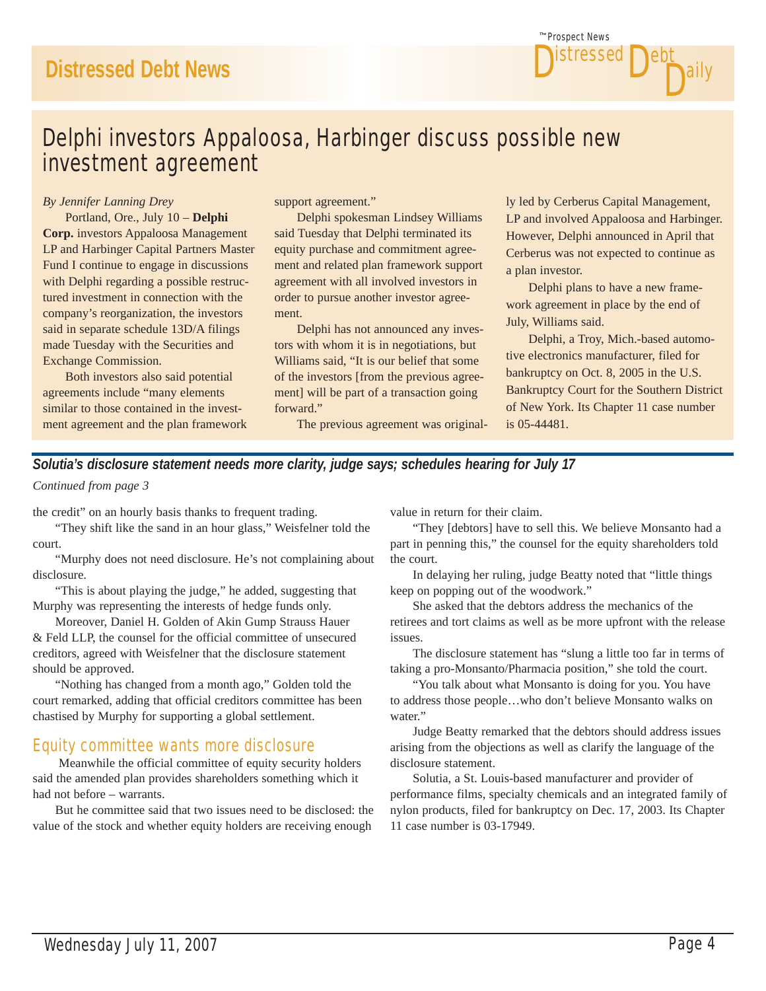## Delphi investors Appaloosa, Harbinger discuss possible new investment agreement

#### *By Jennifer Lanning Drey*

 Portland, Ore., July 10 – **Delphi Corp.** investors Appaloosa Management LP and Harbinger Capital Partners Master Fund I continue to engage in discussions with Delphi regarding a possible restructured investment in connection with the company's reorganization, the investors said in separate schedule 13D/A filings made Tuesday with the Securities and Exchange Commission.

 Both investors also said potential agreements include "many elements similar to those contained in the investment agreement and the plan framework support agreement."

 Delphi spokesman Lindsey Williams said Tuesday that Delphi terminated its equity purchase and commitment agreement and related plan framework support agreement with all involved investors in order to pursue another investor agreement.

 Delphi has not announced any investors with whom it is in negotiations, but Williams said, "It is our belief that some of the investors [from the previous agreement] will be part of a transaction going forward."

The previous agreement was original-

ly led by Cerberus Capital Management, LP and involved Appaloosa and Harbinger. However, Delphi announced in April that Cerberus was not expected to continue as a plan investor.

D<sup>ally</sup>

 $\mathbf{D}^{\text{ept}}$ 

Prospect News *The* stresse

 Delphi plans to have a new framework agreement in place by the end of July, Williams said.

 Delphi, a Troy, Mich.-based automotive electronics manufacturer, filed for bankruptcy on Oct. 8, 2005 in the U.S. Bankruptcy Court for the Southern District of New York. Its Chapter 11 case number is 05-44481.

#### *Solutia's disclosure statement needs more clarity, judge says; schedules hearing for July 17*

*Continued from page 3*

the credit" on an hourly basis thanks to frequent trading.

 "They shift like the sand in an hour glass," Weisfelner told the court.

 "Murphy does not need disclosure. He's not complaining about disclosure.

 "This is about playing the judge," he added, suggesting that Murphy was representing the interests of hedge funds only.

 Moreover, Daniel H. Golden of Akin Gump Strauss Hauer & Feld LLP, the counsel for the official committee of unsecured creditors, agreed with Weisfelner that the disclosure statement should be approved.

 "Nothing has changed from a month ago," Golden told the court remarked, adding that official creditors committee has been chastised by Murphy for supporting a global settlement.

#### Equity committee wants more disclosure

 Meanwhile the official committee of equity security holders said the amended plan provides shareholders something which it had not before – warrants.

 But he committee said that two issues need to be disclosed: the value of the stock and whether equity holders are receiving enough

value in return for their claim.

 "They [debtors] have to sell this. We believe Monsanto had a part in penning this," the counsel for the equity shareholders told the court.

 In delaying her ruling, judge Beatty noted that "little things keep on popping out of the woodwork."

 She asked that the debtors address the mechanics of the retirees and tort claims as well as be more upfront with the release issues.

 The disclosure statement has "slung a little too far in terms of taking a pro-Monsanto/Pharmacia position," she told the court.

 "You talk about what Monsanto is doing for you. You have to address those people…who don't believe Monsanto walks on water."

 Judge Beatty remarked that the debtors should address issues arising from the objections as well as clarify the language of the disclosure statement.

 Solutia, a St. Louis-based manufacturer and provider of performance films, specialty chemicals and an integrated family of nylon products, filed for bankruptcy on Dec. 17, 2003. Its Chapter 11 case number is 03-17949.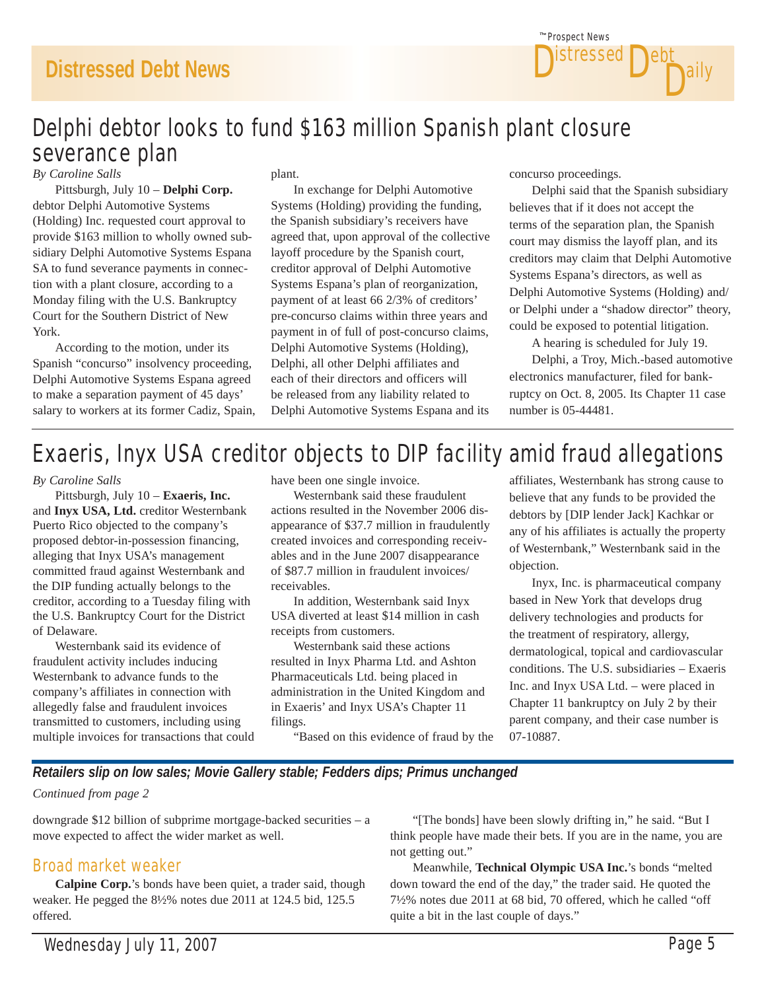## Delphi debtor looks to fund \$163 million Spanish plant closure severance plan

*By Caroline Salls*

 Pittsburgh, July 10 – **Delphi Corp.** debtor Delphi Automotive Systems (Holding) Inc. requested court approval to provide \$163 million to wholly owned subsidiary Delphi Automotive Systems Espana SA to fund severance payments in connection with a plant closure, according to a Monday filing with the U.S. Bankruptcy Court for the Southern District of New York.

 According to the motion, under its Spanish "concurso" insolvency proceeding, Delphi Automotive Systems Espana agreed to make a separation payment of 45 days' salary to workers at its former Cadiz, Spain, plant.

 In exchange for Delphi Automotive Systems (Holding) providing the funding, the Spanish subsidiary's receivers have agreed that, upon approval of the collective layoff procedure by the Spanish court, creditor approval of Delphi Automotive Systems Espana's plan of reorganization, payment of at least 66 2/3% of creditors' pre-concurso claims within three years and payment in of full of post-concurso claims, Delphi Automotive Systems (Holding), Delphi, all other Delphi affiliates and each of their directors and officers will be released from any liability related to Delphi Automotive Systems Espana and its

concurso proceedings.

Prospect News *The* **stressed** 

 Delphi said that the Spanish subsidiary believes that if it does not accept the terms of the separation plan, the Spanish court may dismiss the layoff plan, and its creditors may claim that Delphi Automotive Systems Espana's directors, as well as Delphi Automotive Systems (Holding) and/ or Delphi under a "shadow director" theory, could be exposed to potential litigation.

ailv

 $\mathbf{D}^{\text{ept}}$ 

A hearing is scheduled for July 19.

 Delphi, a Troy, Mich.-based automotive electronics manufacturer, filed for bankruptcy on Oct. 8, 2005. Its Chapter 11 case number is 05-44481.

## Exaeris, Inyx USA creditor objects to DIP facility amid fraud allegations

#### *By Caroline Salls*

 Pittsburgh, July 10 – **Exaeris, Inc.** and **Inyx USA, Ltd.** creditor Westernbank Puerto Rico objected to the company's proposed debtor-in-possession financing, alleging that Inyx USA's management committed fraud against Westernbank and the DIP funding actually belongs to the creditor, according to a Tuesday filing with the U.S. Bankruptcy Court for the District of Delaware.

 Westernbank said its evidence of fraudulent activity includes inducing Westernbank to advance funds to the company's affiliates in connection with allegedly false and fraudulent invoices transmitted to customers, including using multiple invoices for transactions that could have been one single invoice.

 Westernbank said these fraudulent actions resulted in the November 2006 disappearance of \$37.7 million in fraudulently created invoices and corresponding receivables and in the June 2007 disappearance of \$87.7 million in fraudulent invoices/ receivables.

 In addition, Westernbank said Inyx USA diverted at least \$14 million in cash receipts from customers.

 Westernbank said these actions resulted in Inyx Pharma Ltd. and Ashton Pharmaceuticals Ltd. being placed in administration in the United Kingdom and in Exaeris' and Inyx USA's Chapter 11 filings.

"Based on this evidence of fraud by the

affiliates, Westernbank has strong cause to believe that any funds to be provided the debtors by [DIP lender Jack] Kachkar or any of his affiliates is actually the property of Westernbank," Westernbank said in the objection.

 Inyx, Inc. is pharmaceutical company based in New York that develops drug delivery technologies and products for the treatment of respiratory, allergy, dermatological, topical and cardiovascular conditions. The U.S. subsidiaries – Exaeris Inc. and Inyx USA Ltd. – were placed in Chapter 11 bankruptcy on July 2 by their parent company, and their case number is 07-10887.

*Retailers slip on low sales; Movie Gallery stable; Fedders dips; Primus unchanged*

#### *Continued from page 2*

downgrade \$12 billion of subprime mortgage-backed securities – a move expected to affect the wider market as well.

#### Broad market weaker

**Calpine Corp.**'s bonds have been quiet, a trader said, though weaker. He pegged the 8½% notes due 2011 at 124.5 bid, 125.5 offered.

 "[The bonds] have been slowly drifting in," he said. "But I think people have made their bets. If you are in the name, you are not getting out."

 Meanwhile, **Technical Olympic USA Inc.**'s bonds "melted down toward the end of the day," the trader said. He quoted the 7½% notes due 2011 at 68 bid, 70 offered, which he called "off quite a bit in the last couple of days."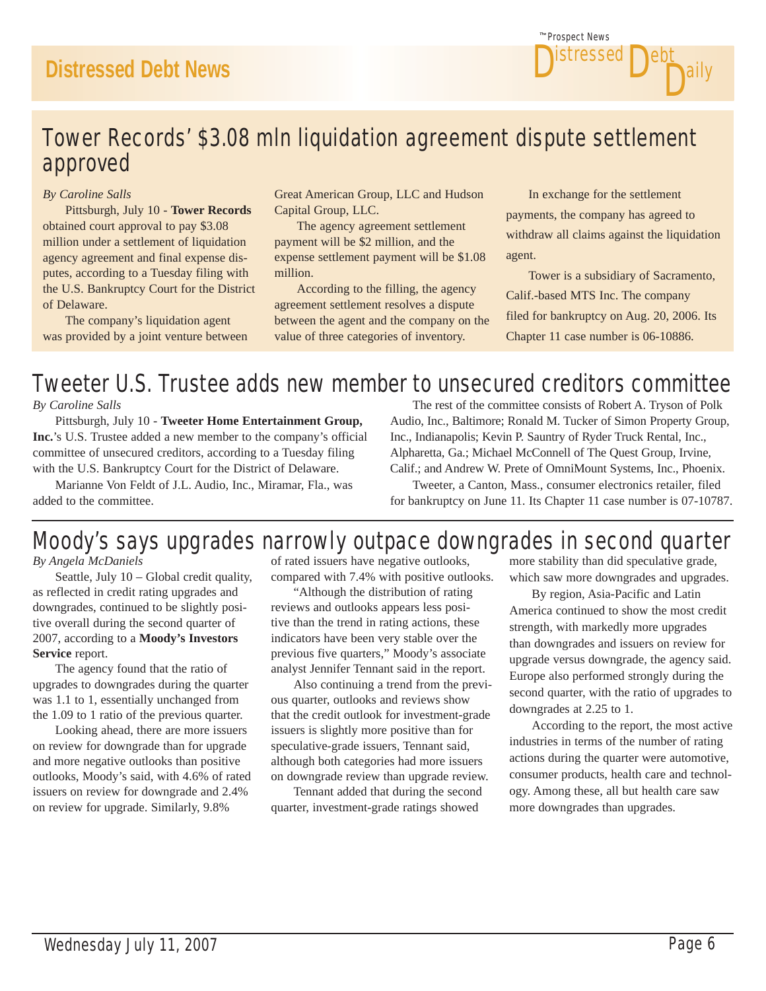## Tower Records' \$3.08 mln liquidation agreement dispute settlement approved

*By Caroline Salls*

 Pittsburgh, July 10 - **Tower Records** obtained court approval to pay \$3.08 million under a settlement of liquidation agency agreement and final expense disputes, according to a Tuesday filing with the U.S. Bankruptcy Court for the District of Delaware.

 The company's liquidation agent was provided by a joint venture between Great American Group, LLC and Hudson Capital Group, LLC.

 The agency agreement settlement payment will be \$2 million, and the expense settlement payment will be \$1.08 million.

 According to the filling, the agency agreement settlement resolves a dispute between the agent and the company on the value of three categories of inventory.

 In exchange for the settlement payments, the company has agreed to withdraw all claims against the liquidation agent.

D<sup>ally</sup>

 $\mathbf{D}^{\text{ept}}$ 

Prospect News *The* **stressed** 

 Tower is a subsidiary of Sacramento, Calif.-based MTS Inc. The company filed for bankruptcy on Aug. 20, 2006. Its Chapter 11 case number is 06-10886.

## Tweeter U.S. Trustee adds new member to unsecured creditors committee

*By Caroline Salls*

 Pittsburgh, July 10 - **Tweeter Home Entertainment Group, Inc.**'s U.S. Trustee added a new member to the company's official committee of unsecured creditors, according to a Tuesday filing with the U.S. Bankruptcy Court for the District of Delaware.

 Marianne Von Feldt of J.L. Audio, Inc., Miramar, Fla., was added to the committee.

 The rest of the committee consists of Robert A. Tryson of Polk Audio, Inc., Baltimore; Ronald M. Tucker of Simon Property Group, Inc., Indianapolis; Kevin P. Sauntry of Ryder Truck Rental, Inc., Alpharetta, Ga.; Michael McConnell of The Quest Group, Irvine, Calif.; and Andrew W. Prete of OmniMount Systems, Inc., Phoenix.

 Tweeter, a Canton, Mass., consumer electronics retailer, filed for bankruptcy on June 11. Its Chapter 11 case number is 07-10787.

## Moody's says upgrades narrowly outpace downgrades in second quarter

#### *By Angela McDaniels*

Seattle, July 10 – Global credit quality, as reflected in credit rating upgrades and downgrades, continued to be slightly positive overall during the second quarter of 2007, according to a **Moody's Investors Service** report.

 The agency found that the ratio of upgrades to downgrades during the quarter was 1.1 to 1, essentially unchanged from the 1.09 to 1 ratio of the previous quarter.

 Looking ahead, there are more issuers on review for downgrade than for upgrade and more negative outlooks than positive outlooks, Moody's said, with 4.6% of rated issuers on review for downgrade and 2.4% on review for upgrade. Similarly, 9.8%

of rated issuers have negative outlooks, compared with 7.4% with positive outlooks.

 "Although the distribution of rating reviews and outlooks appears less positive than the trend in rating actions, these indicators have been very stable over the previous five quarters," Moody's associate analyst Jennifer Tennant said in the report.

 Also continuing a trend from the previous quarter, outlooks and reviews show that the credit outlook for investment-grade issuers is slightly more positive than for speculative-grade issuers, Tennant said, although both categories had more issuers on downgrade review than upgrade review.

 Tennant added that during the second quarter, investment-grade ratings showed

more stability than did speculative grade, which saw more downgrades and upgrades.

 By region, Asia-Pacific and Latin America continued to show the most credit strength, with markedly more upgrades than downgrades and issuers on review for upgrade versus downgrade, the agency said. Europe also performed strongly during the second quarter, with the ratio of upgrades to downgrades at 2.25 to 1.

 According to the report, the most active industries in terms of the number of rating actions during the quarter were automotive, consumer products, health care and technology. Among these, all but health care saw more downgrades than upgrades.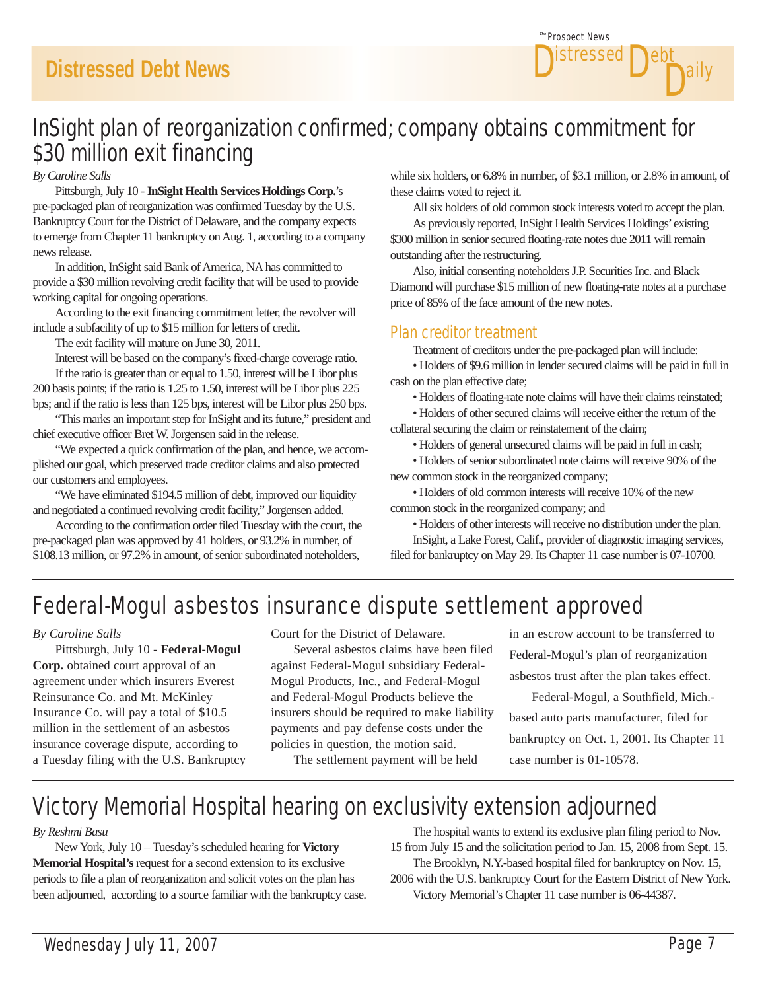

## InSight plan of reorganization confirmed; company obtains commitment for \$30 million exit financing

*By Caroline Salls*

 Pittsburgh, July 10 - **InSight Health Services Holdings Corp.**'s pre-packaged plan of reorganization was confirmed Tuesday by the U.S. Bankruptcy Court for the District of Delaware, and the company expects to emerge from Chapter 11 bankruptcy on Aug. 1, according to a company news release.

 In addition, InSight said Bank of America, NA has committed to provide a \$30 million revolving credit facility that will be used to provide working capital for ongoing operations.

 According to the exit financing commitment letter, the revolver will include a subfacility of up to \$15 million for letters of credit.

The exit facility will mature on June 30, 2011.

Interest will be based on the company's fixed-charge coverage ratio.

 If the ratio is greater than or equal to 1.50, interest will be Libor plus 200 basis points; if the ratio is 1.25 to 1.50, interest will be Libor plus 225 bps; and if the ratio is less than 125 bps, interest will be Libor plus 250 bps.

 "This marks an important step for InSight and its future," president and chief executive officer Bret W. Jorgensen said in the release.

 "We expected a quick confirmation of the plan, and hence, we accomplished our goal, which preserved trade creditor claims and also protected our customers and employees.

 "We have eliminated \$194.5 million of debt, improved our liquidity and negotiated a continued revolving credit facility," Jorgensen added.

 According to the confirmation order filed Tuesday with the court, the pre-packaged plan was approved by 41 holders, or 93.2% in number, of \$108.13 million, or 97.2% in amount, of senior subordinated noteholders,

while six holders, or 6.8% in number, of \$3.1 million, or 2.8% in amount, of these claims voted to reject it.

All six holders of old common stock interests voted to accept the plan.

 As previously reported, InSight Health Services Holdings' existing \$300 million in senior secured floating-rate notes due 2011 will remain outstanding after the restructuring.

 Also, initial consenting noteholders J.P. Securities Inc. and Black Diamond will purchase \$15 million of new floating-rate notes at a purchase price of 85% of the face amount of the new notes.

#### Plan creditor treatment

Treatment of creditors under the pre-packaged plan will include:

 • Holders of \$9.6 million in lender secured claims will be paid in full in cash on the plan effective date;

• Holders of floating-rate note claims will have their claims reinstated;

 • Holders of other secured claims will receive either the return of the collateral securing the claim or reinstatement of the claim;

• Holders of general unsecured claims will be paid in full in cash;

 • Holders of senior subordinated note claims will receive 90% of the new common stock in the reorganized company;

 • Holders of old common interests will receive 10% of the new common stock in the reorganized company; and

 • Holders of other interests will receive no distribution under the plan. InSight, a Lake Forest, Calif., provider of diagnostic imaging services,

filed for bankruptcy on May 29. Its Chapter 11 case number is 07-10700.

## Federal-Mogul asbestos insurance dispute settlement approved

#### *By Caroline Salls*

 Pittsburgh, July 10 - **Federal-Mogul Corp.** obtained court approval of an agreement under which insurers Everest Reinsurance Co. and Mt. McKinley Insurance Co. will pay a total of \$10.5 million in the settlement of an asbestos insurance coverage dispute, according to a Tuesday filing with the U.S. Bankruptcy Court for the District of Delaware.

 Several asbestos claims have been filed against Federal-Mogul subsidiary Federal-Mogul Products, Inc., and Federal-Mogul and Federal-Mogul Products believe the insurers should be required to make liability payments and pay defense costs under the policies in question, the motion said.

The settlement payment will be held

in an escrow account to be transferred to Federal-Mogul's plan of reorganization asbestos trust after the plan takes effect.

 Federal-Mogul, a Southfield, Mich. based auto parts manufacturer, filed for bankruptcy on Oct. 1, 2001. Its Chapter 11 case number is 01-10578.

## Victory Memorial Hospital hearing on exclusivity extension adjourned

#### *By Reshmi Basu*

 New York, July 10 – Tuesday's scheduled hearing for **Victory Memorial Hospital's** request for a second extension to its exclusive periods to file a plan of reorganization and solicit votes on the plan has been adjourned, according to a source familiar with the bankruptcy case.

 The hospital wants to extend its exclusive plan filing period to Nov. 15 from July 15 and the solicitation period to Jan. 15, 2008 from Sept. 15. The Brooklyn, N.Y.-based hospital filed for bankruptcy on Nov. 15, 2006 with the U.S. bankruptcy Court for the Eastern District of New York. Victory Memorial's Chapter 11 case number is 06-44387.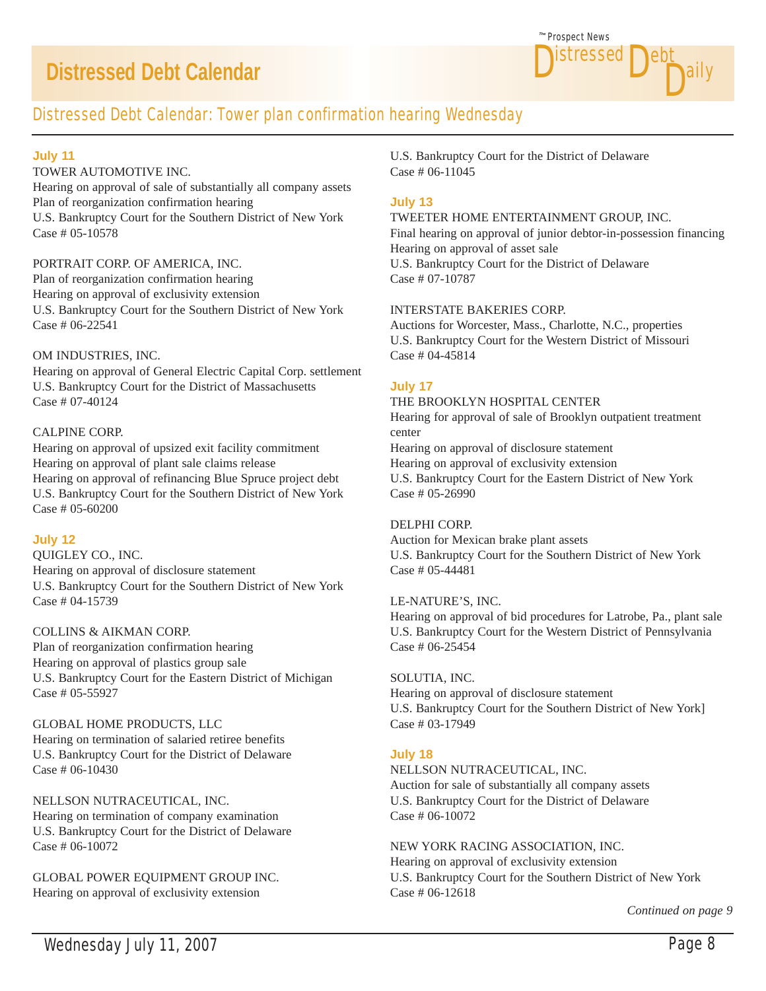

#### Distressed Debt Calendar: Tower plan confirmation hearing Wednesday

#### **July 11**

#### TOWER AUTOMOTIVE INC.

Hearing on approval of sale of substantially all company assets Plan of reorganization confirmation hearing U.S. Bankruptcy Court for the Southern District of New York Case # 05-10578

#### PORTRAIT CORP. OF AMERICA, INC.

Plan of reorganization confirmation hearing Hearing on approval of exclusivity extension U.S. Bankruptcy Court for the Southern District of New York Case # 06-22541

#### OM INDUSTRIES, INC.

Hearing on approval of General Electric Capital Corp. settlement U.S. Bankruptcy Court for the District of Massachusetts Case # 07-40124

#### CALPINE CORP.

Hearing on approval of upsized exit facility commitment Hearing on approval of plant sale claims release Hearing on approval of refinancing Blue Spruce project debt U.S. Bankruptcy Court for the Southern District of New York Case # 05-60200

#### **July 12**

QUIGLEY CO., INC. Hearing on approval of disclosure statement U.S. Bankruptcy Court for the Southern District of New York Case # 04-15739

#### COLLINS & AIKMAN CORP.

Plan of reorganization confirmation hearing Hearing on approval of plastics group sale U.S. Bankruptcy Court for the Eastern District of Michigan Case # 05-55927

#### GLOBAL HOME PRODUCTS, LLC

Hearing on termination of salaried retiree benefits U.S. Bankruptcy Court for the District of Delaware Case # 06-10430

#### NELLSON NUTRACEUTICAL, INC.

Hearing on termination of company examination U.S. Bankruptcy Court for the District of Delaware Case # 06-10072

GLOBAL POWER EQUIPMENT GROUP INC. Hearing on approval of exclusivity extension

U.S. Bankruptcy Court for the District of Delaware Case # 06-11045

#### **July 13**

#### TWEETER HOME ENTERTAINMENT GROUP, INC.

Final hearing on approval of junior debtor-in-possession financing Hearing on approval of asset sale U.S. Bankruptcy Court for the District of Delaware Case # 07-10787

#### INTERSTATE BAKERIES CORP.

Auctions for Worcester, Mass., Charlotte, N.C., properties U.S. Bankruptcy Court for the Western District of Missouri Case # 04-45814

#### **July 17**

#### THE BROOKLYN HOSPITAL CENTER Hearing for approval of sale of Brooklyn outpatient treatment center Hearing on approval of disclosure statement Hearing on approval of exclusivity extension U.S. Bankruptcy Court for the Eastern District of New York Case # 05-26990

#### DELPHI CORP.

Auction for Mexican brake plant assets U.S. Bankruptcy Court for the Southern District of New York Case # 05-44481

#### LE-NATURE'S, INC.

Hearing on approval of bid procedures for Latrobe, Pa., plant sale U.S. Bankruptcy Court for the Western District of Pennsylvania Case # 06-25454

#### SOLUTIA, INC.

Hearing on approval of disclosure statement U.S. Bankruptcy Court for the Southern District of New York] Case # 03-17949

#### **July 18**

NELLSON NUTRACEUTICAL, INC. Auction for sale of substantially all company assets U.S. Bankruptcy Court for the District of Delaware Case # 06-10072

#### NEW YORK RACING ASSOCIATION, INC.

Hearing on approval of exclusivity extension U.S. Bankruptcy Court for the Southern District of New York Case # 06-12618

*Continued on page 9*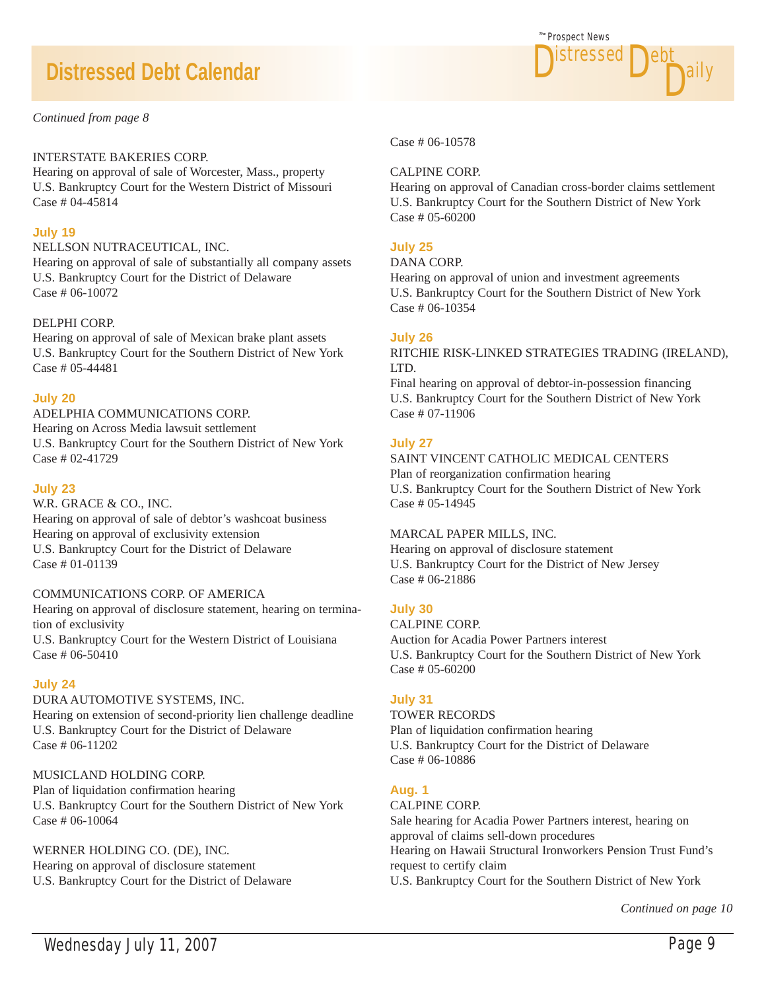## **Distressed Debt Calendar**

*Continued from page 8*

#### INTERSTATE BAKERIES CORP.

Hearing on approval of sale of Worcester, Mass., property U.S. Bankruptcy Court for the Western District of Missouri Case # 04-45814

#### **July 19**

#### NELLSON NUTRACEUTICAL, INC.

Hearing on approval of sale of substantially all company assets U.S. Bankruptcy Court for the District of Delaware Case # 06-10072

#### DELPHI CORP.

Hearing on approval of sale of Mexican brake plant assets U.S. Bankruptcy Court for the Southern District of New York Case # 05-44481

#### **July 20**

ADELPHIA COMMUNICATIONS CORP. Hearing on Across Media lawsuit settlement U.S. Bankruptcy Court for the Southern District of New York Case # 02-41729

#### **July 23**

#### W.R. GRACE & CO., INC.

Hearing on approval of sale of debtor's washcoat business Hearing on approval of exclusivity extension U.S. Bankruptcy Court for the District of Delaware Case # 01-01139

#### COMMUNICATIONS CORP. OF AMERICA

Hearing on approval of disclosure statement, hearing on termination of exclusivity U.S. Bankruptcy Court for the Western District of Louisiana Case # 06-50410

#### **July 24**

#### DURA AUTOMOTIVE SYSTEMS, INC. Hearing on extension of second-priority lien challenge deadline U.S. Bankruptcy Court for the District of Delaware Case # 06-11202

#### MUSICLAND HOLDING CORP.

Plan of liquidation confirmation hearing U.S. Bankruptcy Court for the Southern District of New York Case # 06-10064

WERNER HOLDING CO. (DE), INC.

Hearing on approval of disclosure statement U.S. Bankruptcy Court for the District of Delaware



Case # 06-10578

#### CALPINE CORP.

Hearing on approval of Canadian cross-border claims settlement U.S. Bankruptcy Court for the Southern District of New York Case # 05-60200

#### **July 25**

#### DANA CORP.

Hearing on approval of union and investment agreements U.S. Bankruptcy Court for the Southern District of New York Case # 06-10354

#### **July 26**

RITCHIE RISK-LINKED STRATEGIES TRADING (IRELAND), LTD.

Final hearing on approval of debtor-in-possession financing U.S. Bankruptcy Court for the Southern District of New York Case # 07-11906

#### **July 27**

SAINT VINCENT CATHOLIC MEDICAL CENTERS Plan of reorganization confirmation hearing U.S. Bankruptcy Court for the Southern District of New York  $Case # 05-14945$ 

#### MARCAL PAPER MILLS, INC.

Hearing on approval of disclosure statement U.S. Bankruptcy Court for the District of New Jersey Case # 06-21886

#### **July 30**

CALPINE CORP. Auction for Acadia Power Partners interest U.S. Bankruptcy Court for the Southern District of New York Case # 05-60200

#### **July 31**

TOWER RECORDS Plan of liquidation confirmation hearing U.S. Bankruptcy Court for the District of Delaware Case # 06-10886

#### **Aug. 1**

CALPINE CORP. Sale hearing for Acadia Power Partners interest, hearing on approval of claims sell-down procedures Hearing on Hawaii Structural Ironworkers Pension Trust Fund's request to certify claim U.S. Bankruptcy Court for the Southern District of New York

*Continued on page 10*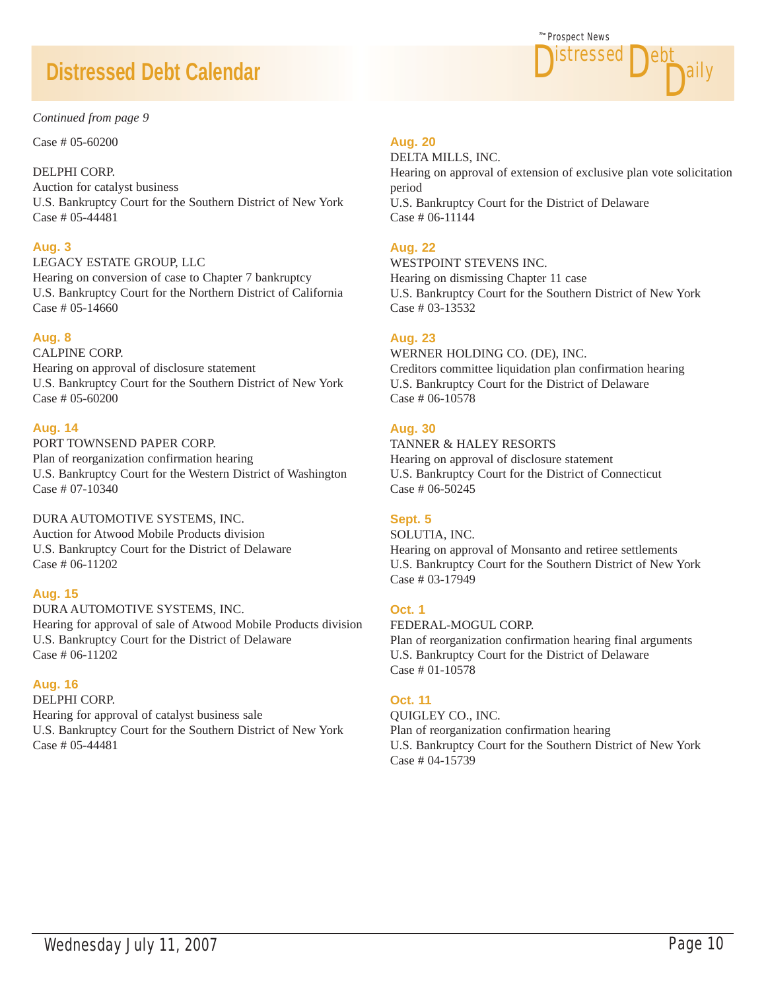## **Distressed Debt Calendar**

#### *Continued from page 9*

Case # 05-60200

#### DELPHI CORP.

Auction for catalyst business U.S. Bankruptcy Court for the Southern District of New York Case # 05-44481

#### **Aug. 3**

#### LEGACY ESTATE GROUP, LLC

Hearing on conversion of case to Chapter 7 bankruptcy U.S. Bankruptcy Court for the Northern District of California Case # 05-14660

#### **Aug. 8**

CALPINE CORP. Hearing on approval of disclosure statement U.S. Bankruptcy Court for the Southern District of New York Case # 05-60200

#### **Aug. 14**

#### PORT TOWNSEND PAPER CORP.

Plan of reorganization confirmation hearing U.S. Bankruptcy Court for the Western District of Washington Case # 07-10340

#### DURA AUTOMOTIVE SYSTEMS, INC.

Auction for Atwood Mobile Products division U.S. Bankruptcy Court for the District of Delaware Case # 06-11202

#### **Aug. 15**

#### DURA AUTOMOTIVE SYSTEMS, INC. Hearing for approval of sale of Atwood Mobile Products division U.S. Bankruptcy Court for the District of Delaware Case # 06-11202

#### **Aug. 16**

#### DELPHI CORP.

Hearing for approval of catalyst business sale U.S. Bankruptcy Court for the Southern District of New York Case # 05-44481

#### **Aug. 20**

DELTA MILLS, INC. Hearing on approval of extension of exclusive plan vote solicitation period U.S. Bankruptcy Court for the District of Delaware Case # 06-11144

Prospect News *The*

**D**istressed

D<sup>ally</sup>

 $\mathbf{D}^{\text{ept}}$ 

#### **Aug. 22**

WESTPOINT STEVENS INC. Hearing on dismissing Chapter 11 case U.S. Bankruptcy Court for the Southern District of New York Case # 03-13532

#### **Aug. 23**

WERNER HOLDING CO. (DE), INC. Creditors committee liquidation plan confirmation hearing U.S. Bankruptcy Court for the District of Delaware Case # 06-10578

#### **Aug. 30**

TANNER & HALEY RESORTS Hearing on approval of disclosure statement U.S. Bankruptcy Court for the District of Connecticut Case # 06-50245

#### **Sept. 5**

SOLUTIA, INC. Hearing on approval of Monsanto and retiree settlements U.S. Bankruptcy Court for the Southern District of New York Case # 03-17949

#### **Oct. 1**

FEDERAL-MOGUL CORP. Plan of reorganization confirmation hearing final arguments U.S. Bankruptcy Court for the District of Delaware Case # 01-10578

#### **Oct. 11**

QUIGLEY CO., INC. Plan of reorganization confirmation hearing U.S. Bankruptcy Court for the Southern District of New York Case # 04-15739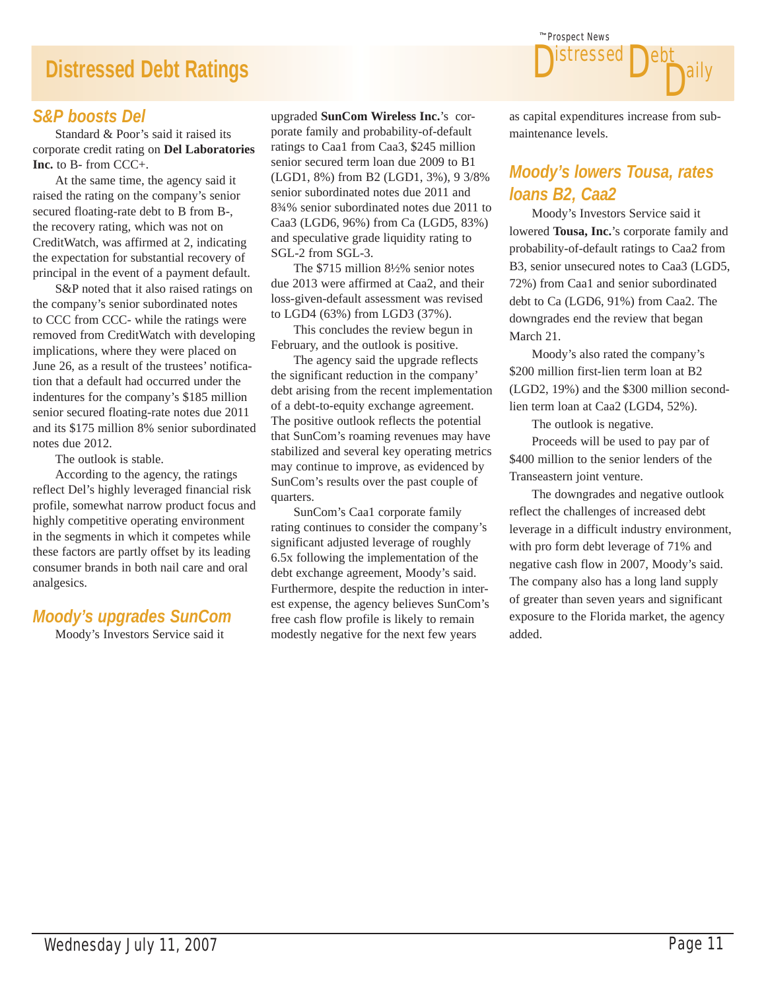## **Distressed Debt Ratings**

#### *S&P boosts Del*

 Standard & Poor's said it raised its corporate credit rating on **Del Laboratories Inc.** to B- from CCC+.

 At the same time, the agency said it raised the rating on the company's senior secured floating-rate debt to B from B-, the recovery rating, which was not on CreditWatch, was affirmed at 2, indicating the expectation for substantial recovery of principal in the event of a payment default.

 S&P noted that it also raised ratings on the company's senior subordinated notes to CCC from CCC- while the ratings were removed from CreditWatch with developing implications, where they were placed on June 26, as a result of the trustees' notification that a default had occurred under the indentures for the company's \$185 million senior secured floating-rate notes due 2011 and its \$175 million 8% senior subordinated notes due 2012.

The outlook is stable.

 According to the agency, the ratings reflect Del's highly leveraged financial risk profile, somewhat narrow product focus and highly competitive operating environment in the segments in which it competes while these factors are partly offset by its leading consumer brands in both nail care and oral analgesics.

#### *Moody's upgrades SunCom*

Moody's Investors Service said it

upgraded **SunCom Wireless Inc.**'s corporate family and probability-of-default ratings to Caa1 from Caa3, \$245 million senior secured term loan due 2009 to B1 (LGD1, 8%) from B2 (LGD1, 3%), 9 3/8% senior subordinated notes due 2011 and 8¾% senior subordinated notes due 2011 to Caa3 (LGD6, 96%) from Ca (LGD5, 83%) and speculative grade liquidity rating to SGL-2 from SGL-3.

 The \$715 million 8½% senior notes due 2013 were affirmed at Caa2, and their loss-given-default assessment was revised to LGD4 (63%) from LGD3 (37%).

 This concludes the review begun in February, and the outlook is positive.

 The agency said the upgrade reflects the significant reduction in the company' debt arising from the recent implementation of a debt-to-equity exchange agreement. The positive outlook reflects the potential that SunCom's roaming revenues may have stabilized and several key operating metrics may continue to improve, as evidenced by SunCom's results over the past couple of quarters.

 SunCom's Caa1 corporate family rating continues to consider the company's significant adjusted leverage of roughly 6.5x following the implementation of the debt exchange agreement, Moody's said. Furthermore, despite the reduction in interest expense, the agency believes SunCom's free cash flow profile is likely to remain modestly negative for the next few years

as capital expenditures increase from submaintenance levels.

 $\mathbf{D}^{\text{ept}}$ 

ailv

Prospect News *The* stresse

### *Moody's lowers Tousa, rates loans B2, Caa2*

 Moody's Investors Service said it lowered **Tousa, Inc.**'s corporate family and probability-of-default ratings to Caa2 from B3, senior unsecured notes to Caa3 (LGD5, 72%) from Caa1 and senior subordinated debt to Ca (LGD6, 91%) from Caa2. The downgrades end the review that began March 21.

 Moody's also rated the company's \$200 million first-lien term loan at B2 (LGD2, 19%) and the \$300 million secondlien term loan at Caa2 (LGD4, 52%).

The outlook is negative.

 Proceeds will be used to pay par of \$400 million to the senior lenders of the Transeastern joint venture.

 The downgrades and negative outlook reflect the challenges of increased debt leverage in a difficult industry environment, with pro form debt leverage of 71% and negative cash flow in 2007, Moody's said. The company also has a long land supply of greater than seven years and significant exposure to the Florida market, the agency added.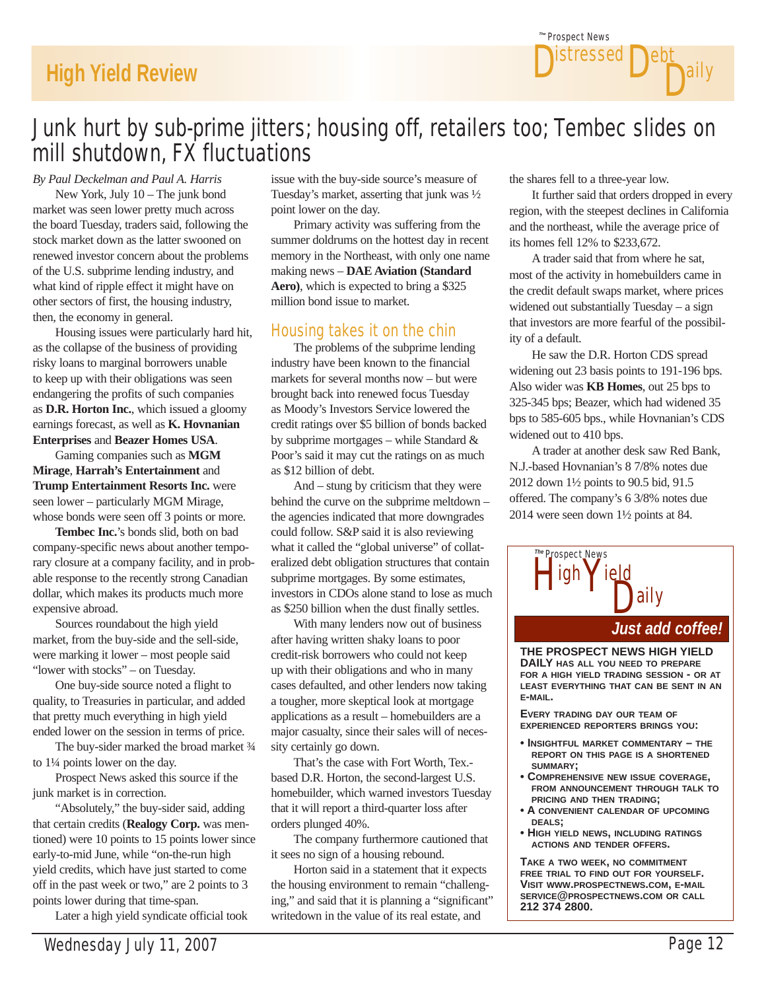## **High Yield Review**

## Junk hurt by sub-prime jitters; housing off, retailers too; Tembec slides on mill shutdown, FX fluctuations

*By Paul Deckelman and Paul A. Harris*  New York, July 10 – The junk bond market was seen lower pretty much across the board Tuesday, traders said, following the stock market down as the latter swooned on renewed investor concern about the problems of the U.S. subprime lending industry, and what kind of ripple effect it might have on other sectors of first, the housing industry, then, the economy in general.

 Housing issues were particularly hard hit, as the collapse of the business of providing risky loans to marginal borrowers unable to keep up with their obligations was seen endangering the profits of such companies as **D.R. Horton Inc.**, which issued a gloomy earnings forecast, as well as **K. Hovnanian Enterprises** and **Beazer Homes USA**.

 Gaming companies such as **MGM Mirage**, **Harrah's Entertainment** and **Trump Entertainment Resorts Inc.** were seen lower – particularly MGM Mirage, whose bonds were seen off 3 points or more.

**Tembec Inc.**'s bonds slid, both on bad company-specific news about another temporary closure at a company facility, and in probable response to the recently strong Canadian dollar, which makes its products much more expensive abroad.

 Sources roundabout the high yield market, from the buy-side and the sell-side, were marking it lower – most people said "lower with stocks" – on Tuesday.

 One buy-side source noted a flight to quality, to Treasuries in particular, and added that pretty much everything in high yield ended lower on the session in terms of price.

The buy-sider marked the broad market 3/4 to 1¼ points lower on the day.

 Prospect News asked this source if the junk market is in correction.

 "Absolutely," the buy-sider said, adding that certain credits (**Realogy Corp.** was mentioned) were 10 points to 15 points lower since early-to-mid June, while "on-the-run high yield credits, which have just started to come off in the past week or two," are 2 points to 3 points lower during that time-span.

Later a high yield syndicate official took

issue with the buy-side source's measure of Tuesday's market, asserting that junk was ½ point lower on the day.

 Primary activity was suffering from the summer doldrums on the hottest day in recent memory in the Northeast, with only one name making news – **DAE Aviation (Standard Aero)**, which is expected to bring a \$325 million bond issue to market.

#### Housing takes it on the chin

 The problems of the subprime lending industry have been known to the financial markets for several months now – but were brought back into renewed focus Tuesday as Moody's Investors Service lowered the credit ratings over \$5 billion of bonds backed by subprime mortgages – while Standard & Poor's said it may cut the ratings on as much as \$12 billion of debt.

 And – stung by criticism that they were behind the curve on the subprime meltdown – the agencies indicated that more downgrades could follow. S&P said it is also reviewing what it called the "global universe" of collateralized debt obligation structures that contain subprime mortgages. By some estimates, investors in CDOs alone stand to lose as much as \$250 billion when the dust finally settles.

 With many lenders now out of business after having written shaky loans to poor credit-risk borrowers who could not keep up with their obligations and who in many cases defaulted, and other lenders now taking a tougher, more skeptical look at mortgage applications as a result – homebuilders are a major casualty, since their sales will of necessity certainly go down.

 That's the case with Fort Worth, Tex. based D.R. Horton, the second-largest U.S. homebuilder, which warned investors Tuesday that it will report a third-quarter loss after orders plunged 40%.

 The company furthermore cautioned that it sees no sign of a housing rebound.

 Horton said in a statement that it expects the housing environment to remain "challenging," and said that it is planning a "significant" writedown in the value of its real estate, and

the shares fell to a three-year low.

 It further said that orders dropped in every region, with the steepest declines in California and the northeast, while the average price of its homes fell 12% to \$233,672.

 A trader said that from where he sat, most of the activity in homebuilders came in the credit default swaps market, where prices widened out substantially Tuesday – a sign that investors are more fearful of the possibility of a default.

 He saw the D.R. Horton CDS spread widening out 23 basis points to 191-196 bps. Also wider was **KB Homes**, out 25 bps to 325-345 bps; Beazer, which had widened 35 bps to 585-605 bps., while Hovnanian's CDS widened out to 410 bps.

 A trader at another desk saw Red Bank, N.J.-based Hovnanian's 8 7/8% notes due 2012 down 1½ points to 90.5 bid, 91.5 offered. The company's 6 3/8% notes due 2014 were seen down 1½ points at 84.



**THE PROSPECT NEWS HIGH YIELD DAILY HAS ALL YOU NEED TO PREPARE FOR A HIGH YIELD TRADING SESSION - OR AT LEAST EVERYTHING THAT CAN BE SENT IN AN E-MAIL.**

**EVERY TRADING DAY OUR TEAM OF EXPERIENCED REPORTERS BRINGS YOU:**

- **INSIGHTFUL MARKET COMMENTARY THE REPORT ON THIS PAGE IS A SHORTENED SUMMARY;**
- **COMPREHENSIVE NEW ISSUE COVERAGE, FROM ANNOUNCEMENT THROUGH TALK TO PRICING AND THEN TRADING;**
- **A CONVENIENT CALENDAR OF UPCOMING DEALS;**
- **HIGH YIELD NEWS, INCLUDING RATINGS ACTIONS AND TENDER OFFERS.**

**TAKE A TWO WEEK, NO COMMITMENT FREE TRIAL TO FIND OUT FOR YOURSELF. VISIT WWW.PROSPECTNEWS.COM, E-MAIL SERVICE@PROSPECTNEWS.COM OR CALL 212 374 2800.**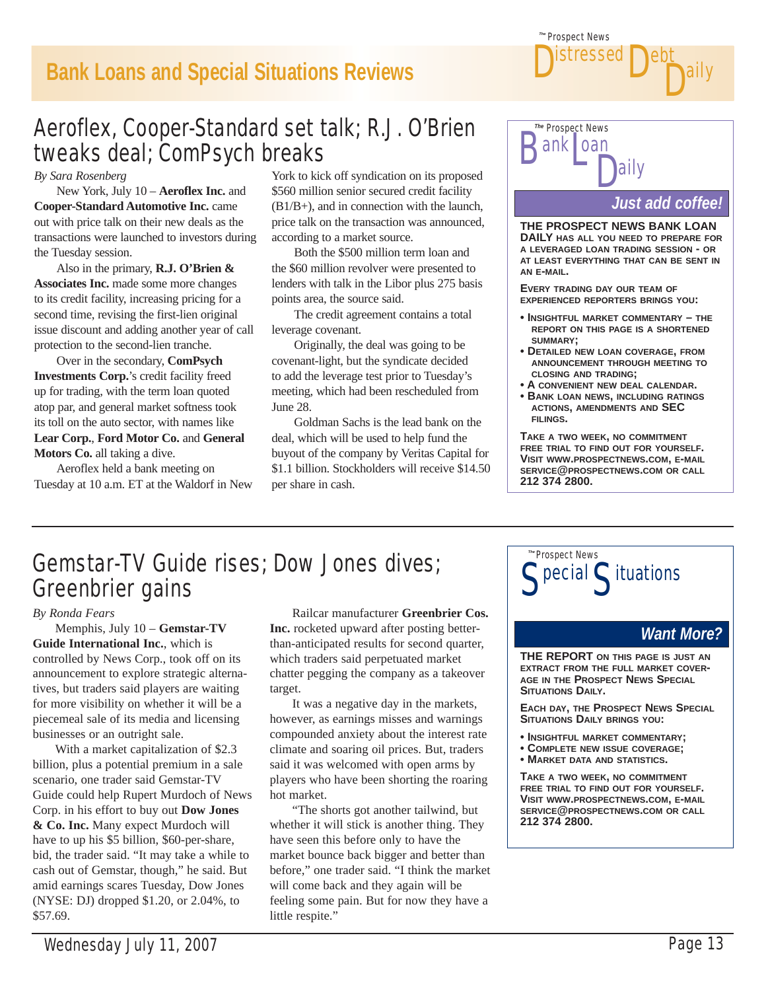## **Bank Loans and Special Situations Reviews**



## Aeroflex, Cooper-Standard set talk; R.J. O'Brien tweaks deal; ComPsych breaks

*By Sara Rosenberg* 

 New York, July 10 – **Aeroflex Inc.** and **Cooper-Standard Automotive Inc.** came out with price talk on their new deals as the transactions were launched to investors during the Tuesday session.

 Also in the primary, **R.J. O'Brien & Associates Inc.** made some more changes to its credit facility, increasing pricing for a second time, revising the first-lien original issue discount and adding another year of call protection to the second-lien tranche.

 Over in the secondary, **ComPsych Investments Corp.**'s credit facility freed up for trading, with the term loan quoted atop par, and general market softness took its toll on the auto sector, with names like **Lear Corp.**, **Ford Motor Co.** and **General Motors Co.** all taking a dive.

 Aeroflex held a bank meeting on Tuesday at 10 a.m. ET at the Waldorf in New

York to kick off syndication on its proposed \$560 million senior secured credit facility (B1/B+), and in connection with the launch, price talk on the transaction was announced, according to a market source.

 Both the \$500 million term loan and the \$60 million revolver were presented to lenders with talk in the Libor plus 275 basis points area, the source said.

 The credit agreement contains a total leverage covenant.

 Originally, the deal was going to be covenant-light, but the syndicate decided to add the leverage test prior to Tuesday's meeting, which had been rescheduled from June 28.

 Goldman Sachs is the lead bank on the deal, which will be used to help fund the buyout of the company by Veritas Capital for \$1.1 billion. Stockholders will receive \$14.50 per share in cash.



**THE PROSPECT NEWS BANK LOAN DAILY HAS ALL YOU NEED TO PREPARE FOR A LEVERAGED LOAN TRADING SESSION - OR AT LEAST EVERYTHING THAT CAN BE SENT IN AN E-MAIL.**

**EVERY TRADING DAY OUR TEAM OF EXPERIENCED REPORTERS BRINGS YOU:**

- **INSIGHTFUL MARKET COMMENTARY THE REPORT ON THIS PAGE IS A SHORTENED SUMMARY;**
- **DETAILED NEW LOAN COVERAGE, FROM ANNOUNCEMENT THROUGH MEETING TO CLOSING AND TRADING;**
- **A CONVENIENT NEW DEAL CALENDAR.**
- **BANK LOAN NEWS, INCLUDING RATINGS ACTIONS, AMENDMENTS AND SEC FILINGS.**

**TAKE A TWO WEEK, NO COMMITMENT FREE TRIAL TO FIND OUT FOR YOURSELF. VISIT WWW.PROSPECTNEWS.COM, E-MAIL SERVICE@PROSPECTNEWS.COM OR CALL 212 374 2800.**

## Gemstar-TV Guide rises; Dow Jones dives; Greenbrier gains

#### *By Ronda Fears*

 Memphis, July 10 – **Gemstar-TV Guide International Inc.**, which is controlled by News Corp., took off on its announcement to explore strategic alternatives, but traders said players are waiting for more visibility on whether it will be a piecemeal sale of its media and licensing businesses or an outright sale.

 With a market capitalization of \$2.3 billion, plus a potential premium in a sale scenario, one trader said Gemstar-TV Guide could help Rupert Murdoch of News Corp. in his effort to buy out **Dow Jones & Co. Inc.** Many expect Murdoch will have to up his \$5 billion, \$60-per-share, bid, the trader said. "It may take a while to cash out of Gemstar, though," he said. But amid earnings scares Tuesday, Dow Jones (NYSE: DJ) dropped \$1.20, or 2.04%, to \$57.69.

 Railcar manufacturer **Greenbrier Cos. Inc.** rocketed upward after posting betterthan-anticipated results for second quarter, which traders said perpetuated market chatter pegging the company as a takeover target.

 It was a negative day in the markets, however, as earnings misses and warnings compounded anxiety about the interest rate climate and soaring oil prices. But, traders said it was welcomed with open arms by players who have been shorting the roaring hot market.

 "The shorts got another tailwind, but whether it will stick is another thing. They have seen this before only to have the market bounce back bigger and better than before," one trader said. "I think the market will come back and they again will be feeling some pain. But for now they have a little respite."



#### *Want More?*

**THE REPORT ON THIS PAGE IS JUST AN EXTRACT FROM THE FULL MARKET COVER-AGE IN THE PROSPECT NEWS SPECIAL SITUATIONS DAILY.**

**EACH DAY, THE PROSPECT NEWS SPECIAL SITUATIONS DAILY BRINGS YOU:**

- **INSIGHTFUL MARKET COMMENTARY;**
- **COMPLETE NEW ISSUE COVERAGE;**
- **MARKET DATA AND STATISTICS.**

**TAKE A TWO WEEK, NO COMMITMENT FREE TRIAL TO FIND OUT FOR YOURSELF. VISIT WWW.PROSPECTNEWS.COM, E-MAIL SERVICE@PROSPECTNEWS.COM OR CALL 212 374 2800.**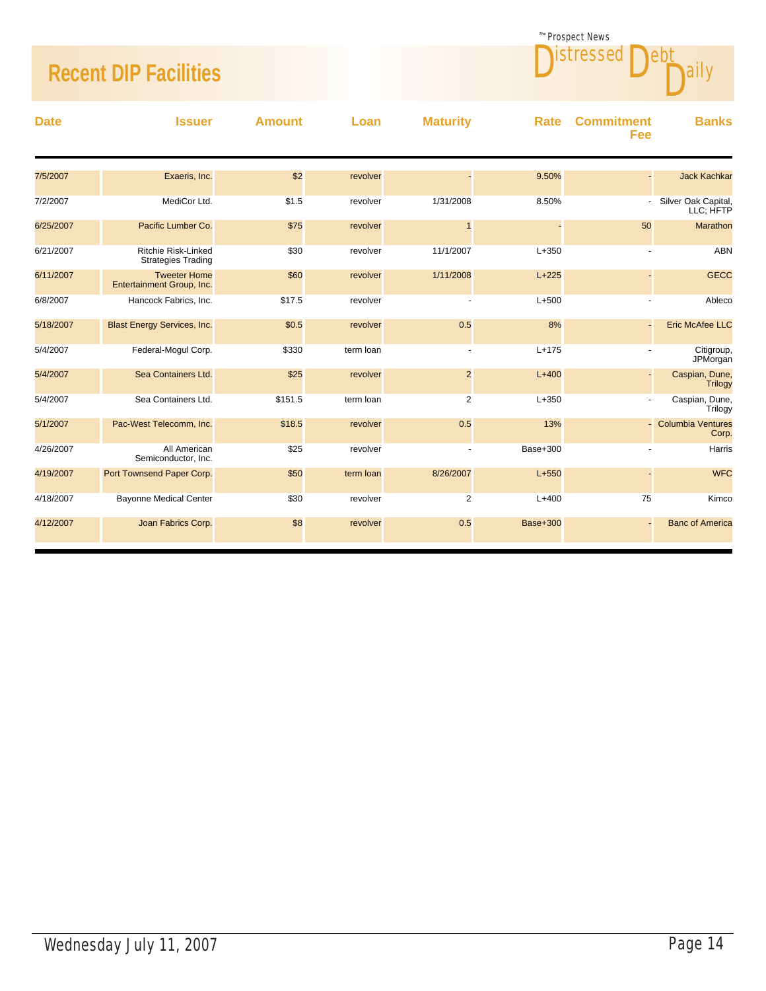## **Recent DIP Facilities**

| The Prospect News |  |
|-------------------|--|
| ISTRESSEO         |  |

| <b>Date</b> | <b>Issuer</b>                                           | <b>Amount</b> | Loan      | <b>Maturity</b> | Rate            | <b>Commitment</b><br>Fee | <b>Banks</b>                      |
|-------------|---------------------------------------------------------|---------------|-----------|-----------------|-----------------|--------------------------|-----------------------------------|
| 7/5/2007    | Exaeris, Inc.                                           | \$2           | revolver  |                 | 9.50%           |                          | <b>Jack Kachkar</b>               |
| 7/2/2007    | MediCor Ltd.                                            | \$1.5         | revolver  | 1/31/2008       | 8.50%           |                          | Silver Oak Capital,<br>LLC; HFTP  |
| 6/25/2007   | Pacific Lumber Co.                                      | \$75          | revolver  | $\mathbf{1}$    |                 | 50                       | Marathon                          |
| 6/21/2007   | <b>Ritchie Risk-Linked</b><br><b>Strategies Trading</b> | \$30          | revolver  | 11/1/2007       | $L + 350$       |                          | <b>ABN</b>                        |
| 6/11/2007   | <b>Tweeter Home</b><br>Entertainment Group, Inc.        | \$60          | revolver  | 1/11/2008       | $L+225$         |                          | <b>GECC</b>                       |
| 6/8/2007    | Hancock Fabrics, Inc.                                   | \$17.5        | revolver  |                 | $L+500$         |                          | Ableco                            |
| 5/18/2007   | <b>Blast Energy Services, Inc.</b>                      | \$0.5         | revolver  | 0.5             | 8%              |                          | <b>Eric McAfee LLC</b>            |
| 5/4/2007    | Federal-Mogul Corp.                                     | \$330         | term loan |                 | $L + 175$       |                          | Citigroup,<br>JPMorgan            |
| 5/4/2007    | Sea Containers Ltd.                                     | \$25          | revolver  | $\overline{2}$  | $L + 400$       |                          | Caspian, Dune,<br>Trilogy         |
| 5/4/2007    | Sea Containers Ltd.                                     | \$151.5       | term loan | 2               | $L + 350$       |                          | Caspian, Dune,<br>Trilogy         |
| 5/1/2007    | Pac-West Telecomm, Inc.                                 | \$18.5        | revolver  | 0.5             | 13%             |                          | <b>Columbia Ventures</b><br>Corp. |
| 4/26/2007   | All American<br>Semiconductor, Inc.                     | \$25          | revolver  |                 | Base+300        |                          | Harris                            |
| 4/19/2007   | Port Townsend Paper Corp.                               | \$50          | term loan | 8/26/2007       | $L + 550$       |                          | <b>WFC</b>                        |
| 4/18/2007   | <b>Bayonne Medical Center</b>                           | \$30          | revolver  | 2               | $L + 400$       | 75                       | Kimco                             |
| 4/12/2007   | Joan Fabrics Corp.                                      | \$8           | revolver  | 0.5             | <b>Base+300</b> |                          | <b>Banc of America</b>            |